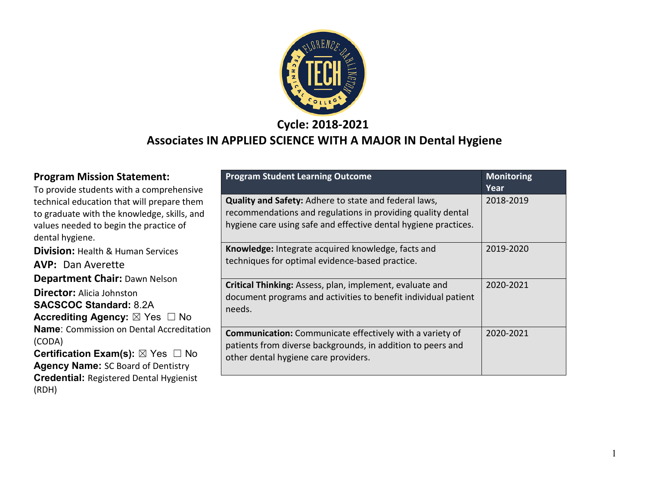

## **Cycle: 2018-2021 Associates IN APPLIED SCIENCE WITH A MAJOR IN Dental Hygiene**

| <b>Program Mission Statement:</b>                                                                                                                                                                  | <b>Program Student Learning Outcome</b>                                                                                                                                                        | <b>Monitoring</b> |
|----------------------------------------------------------------------------------------------------------------------------------------------------------------------------------------------------|------------------------------------------------------------------------------------------------------------------------------------------------------------------------------------------------|-------------------|
| To provide students with a comprehensive<br>technical education that will prepare them<br>to graduate with the knowledge, skills, and<br>values needed to begin the practice of<br>dental hygiene. | <b>Quality and Safety:</b> Adhere to state and federal laws,<br>recommendations and regulations in providing quality dental<br>hygiene care using safe and effective dental hygiene practices. | Year<br>2018-2019 |
| <b>Division:</b> Health & Human Services<br><b>AVP: Dan Averette</b>                                                                                                                               | Knowledge: Integrate acquired knowledge, facts and<br>techniques for optimal evidence-based practice.                                                                                          | 2019-2020         |
| <b>Department Chair: Dawn Nelson</b><br><b>Director:</b> Alicia Johnston<br><b>SACSCOC Standard: 8.2A</b><br><b>Accrediting Agency:</b> $\boxtimes$ Yes $\Box$ No                                  | Critical Thinking: Assess, plan, implement, evaluate and<br>document programs and activities to benefit individual patient<br>needs.                                                           | 2020-2021         |
| <b>Name:</b> Commission on Dental Accreditation<br>(CODA)<br><b>Certification Exam(s):</b> $\boxtimes$ Yes $\Box$ No<br><b>Agency Name: SC Board of Dentistry</b>                                  | <b>Communication:</b> Communicate effectively with a variety of<br>patients from diverse backgrounds, in addition to peers and<br>other dental hygiene care providers.                         | 2020-2021         |
| <b>Credential:</b> Registered Dental Hygienist<br>(RDH)                                                                                                                                            |                                                                                                                                                                                                |                   |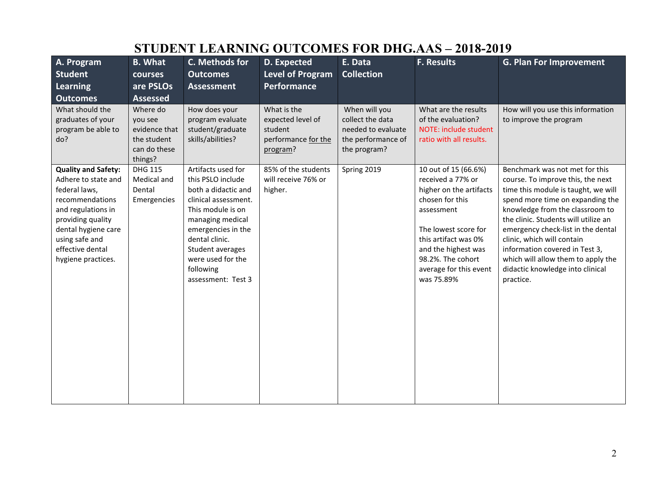| A. Program<br><b>Student</b>                                                                                                                                                                                        | <b>B.</b> What<br>courses                                          | C. Methods for<br><b>Outcomes</b>                                                                                                                                                                                                                   | D. Expected<br>Level of Program                                 | E. Data<br><b>Collection</b>                                                 | <b>F. Results</b>                                                                                                                                                                                                                         | <b>G. Plan For Improvement</b>                                                                                                                                                                                                                                                                                                                                                                                         |
|---------------------------------------------------------------------------------------------------------------------------------------------------------------------------------------------------------------------|--------------------------------------------------------------------|-----------------------------------------------------------------------------------------------------------------------------------------------------------------------------------------------------------------------------------------------------|-----------------------------------------------------------------|------------------------------------------------------------------------------|-------------------------------------------------------------------------------------------------------------------------------------------------------------------------------------------------------------------------------------------|------------------------------------------------------------------------------------------------------------------------------------------------------------------------------------------------------------------------------------------------------------------------------------------------------------------------------------------------------------------------------------------------------------------------|
| Learning                                                                                                                                                                                                            | are PSLOs                                                          | <b>Assessment</b>                                                                                                                                                                                                                                   | Performance                                                     |                                                                              |                                                                                                                                                                                                                                           |                                                                                                                                                                                                                                                                                                                                                                                                                        |
| <b>Outcomes</b><br>What should the                                                                                                                                                                                  | <b>Assessed</b><br>Where do                                        | How does your                                                                                                                                                                                                                                       | What is the                                                     | When will you                                                                | What are the results                                                                                                                                                                                                                      | How will you use this information                                                                                                                                                                                                                                                                                                                                                                                      |
| graduates of your<br>program be able to<br>do?                                                                                                                                                                      | you see<br>evidence that<br>the student<br>can do these<br>things? | program evaluate<br>student/graduate<br>skills/abilities?                                                                                                                                                                                           | expected level of<br>student<br>performance for the<br>program? | collect the data<br>needed to evaluate<br>the performance of<br>the program? | of the evaluation?<br><b>NOTE: include student</b><br>ratio with all results.                                                                                                                                                             | to improve the program                                                                                                                                                                                                                                                                                                                                                                                                 |
| <b>Quality and Safety:</b><br>Adhere to state and<br>federal laws,<br>recommendations<br>and regulations in<br>providing quality<br>dental hygiene care<br>using safe and<br>effective dental<br>hygiene practices. | <b>DHG 115</b><br>Medical and<br>Dental<br>Emergencies             | Artifacts used for<br>this PSLO include<br>both a didactic and<br>clinical assessment.<br>This module is on<br>managing medical<br>emergencies in the<br>dental clinic.<br>Student averages<br>were used for the<br>following<br>assessment: Test 3 | 85% of the students<br>will receive 76% or<br>higher.           | Spring 2019                                                                  | 10 out of 15 (66.6%)<br>received a 77% or<br>higher on the artifacts<br>chosen for this<br>assessment<br>The lowest score for<br>this artifact was 0%<br>and the highest was<br>98.2%. The cohort<br>average for this event<br>was 75.89% | Benchmark was not met for this<br>course. To improve this, the next<br>time this module is taught, we will<br>spend more time on expanding the<br>knowledge from the classroom to<br>the clinic. Students will utilize an<br>emergency check-list in the dental<br>clinic, which will contain<br>information covered in Test 3,<br>which will allow them to apply the<br>didactic knowledge into clinical<br>practice. |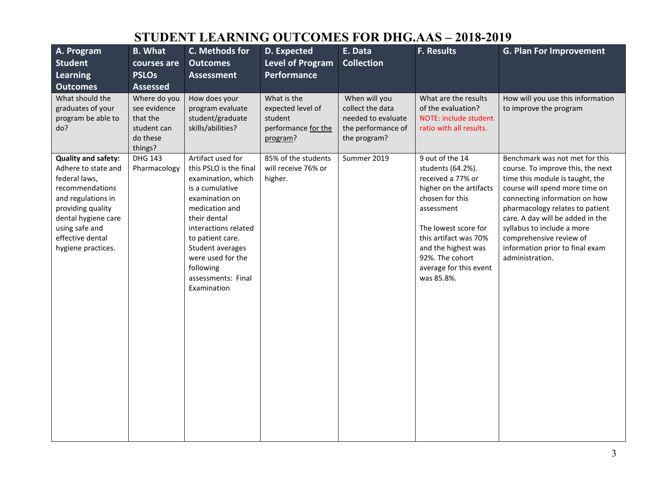| A. Program<br><b>Student</b><br><b>Learning</b>                                                                                                                                                                     | <b>B.</b> What<br>courses are<br><b>PSLOs</b>                                  | C. Methods for<br><b>Outcomes</b><br><b>Assessment</b>                                                                                                                                                                                                                          | D. Expected<br><b>Level of Program</b><br>Performance                          | E. Data<br><b>Collection</b>                                                                  | F. Results                                                                                                                                                                                                                                                 | <b>G. Plan For Improvement</b>                                                                                                                                                                                                                                                                                                                                  |
|---------------------------------------------------------------------------------------------------------------------------------------------------------------------------------------------------------------------|--------------------------------------------------------------------------------|---------------------------------------------------------------------------------------------------------------------------------------------------------------------------------------------------------------------------------------------------------------------------------|--------------------------------------------------------------------------------|-----------------------------------------------------------------------------------------------|------------------------------------------------------------------------------------------------------------------------------------------------------------------------------------------------------------------------------------------------------------|-----------------------------------------------------------------------------------------------------------------------------------------------------------------------------------------------------------------------------------------------------------------------------------------------------------------------------------------------------------------|
| <b>Outcomes</b>                                                                                                                                                                                                     | <b>Assessed</b>                                                                |                                                                                                                                                                                                                                                                                 |                                                                                |                                                                                               |                                                                                                                                                                                                                                                            |                                                                                                                                                                                                                                                                                                                                                                 |
| What should the<br>graduates of your<br>program be able to<br>do?                                                                                                                                                   | Where do you<br>see evidence<br>that the<br>student can<br>do these<br>things? | How does your<br>program evaluate<br>student/graduate<br>skills/abilities?                                                                                                                                                                                                      | What is the<br>expected level of<br>student<br>performance for the<br>program? | When will you<br>collect the data<br>needed to evaluate<br>the performance of<br>the program? | What are the results<br>of the evaluation?<br>NOTE: include student<br>ratio with all results.                                                                                                                                                             | How will you use this information<br>to improve the program                                                                                                                                                                                                                                                                                                     |
| <b>Quality and safety:</b><br>Adhere to state and<br>federal laws,<br>recommendations<br>and regulations in<br>providing quality<br>dental hygiene care<br>using safe and<br>effective dental<br>hygiene practices. | <b>DHG 143</b><br>Pharmacology                                                 | Artifact used for<br>this PSLO is the final<br>examination, which<br>is a cumulative<br>examination on<br>medication and<br>their dental<br>interactions related<br>to patient care.<br>Student averages<br>were used for the<br>following<br>assessments: Final<br>Examination | 85% of the students<br>will receive 76% or<br>higher.                          | Summer 2019                                                                                   | 9 out of the $14$<br>students (64.2%).<br>received a 77% or<br>higher on the artifacts<br>chosen for this<br>assessment<br>The lowest score for<br>this artifact was 70%<br>and the highest was<br>92%. The cohort<br>average for this event<br>was 85.8%. | Benchmark was not met for this<br>course. To improve this, the next<br>time this module is taught, the<br>course will spend more time on<br>connecting information on how<br>pharmacology relates to patient<br>care. A day will be added in the<br>syllabus to include a more<br>comprehensive review of<br>information prior to final exam<br>administration. |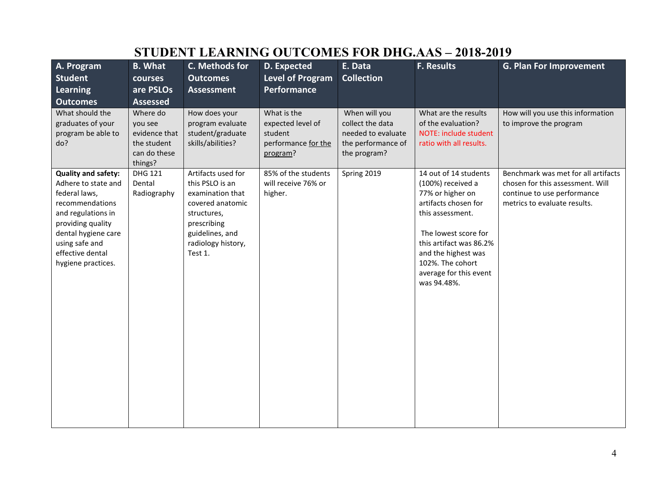| A. Program<br><b>Student</b><br>Learning<br><b>Outcomes</b>                                                                                                                                                         | <b>B.</b> What<br>courses<br>are PSLOs<br><b>Assessed</b>                      | C. Methods for<br><b>Outcomes</b><br><b>Assessment</b>                                                                                                          | D. Expected<br><b>Level of Program</b><br>Performance                          | E. Data<br><b>Collection</b>                                                                  | <b>F. Results</b>                                                                                                                                                                                                                                 | <b>G. Plan For Improvement</b>                                                                                                         |
|---------------------------------------------------------------------------------------------------------------------------------------------------------------------------------------------------------------------|--------------------------------------------------------------------------------|-----------------------------------------------------------------------------------------------------------------------------------------------------------------|--------------------------------------------------------------------------------|-----------------------------------------------------------------------------------------------|---------------------------------------------------------------------------------------------------------------------------------------------------------------------------------------------------------------------------------------------------|----------------------------------------------------------------------------------------------------------------------------------------|
| What should the<br>graduates of your<br>program be able to<br>do?                                                                                                                                                   | Where do<br>you see<br>evidence that<br>the student<br>can do these<br>things? | How does your<br>program evaluate<br>student/graduate<br>skills/abilities?                                                                                      | What is the<br>expected level of<br>student<br>performance for the<br>program? | When will you<br>collect the data<br>needed to evaluate<br>the performance of<br>the program? | What are the results<br>of the evaluation?<br>NOTE: include student<br>ratio with all results.                                                                                                                                                    | How will you use this information<br>to improve the program                                                                            |
| <b>Quality and safety:</b><br>Adhere to state and<br>federal laws,<br>recommendations<br>and regulations in<br>providing quality<br>dental hygiene care<br>using safe and<br>effective dental<br>hygiene practices. | <b>DHG 121</b><br>Dental<br>Radiography                                        | Artifacts used for<br>this PSLO is an<br>examination that<br>covered anatomic<br>structures,<br>prescribing<br>guidelines, and<br>radiology history,<br>Test 1. | 85% of the students<br>will receive 76% or<br>higher.                          | Spring 2019                                                                                   | 14 out of 14 students<br>(100%) received a<br>77% or higher on<br>artifacts chosen for<br>this assessment.<br>The lowest score for<br>this artifact was 86.2%<br>and the highest was<br>102%. The cohort<br>average for this event<br>was 94.48%. | Benchmark was met for all artifacts<br>chosen for this assessment. Will<br>continue to use performance<br>metrics to evaluate results. |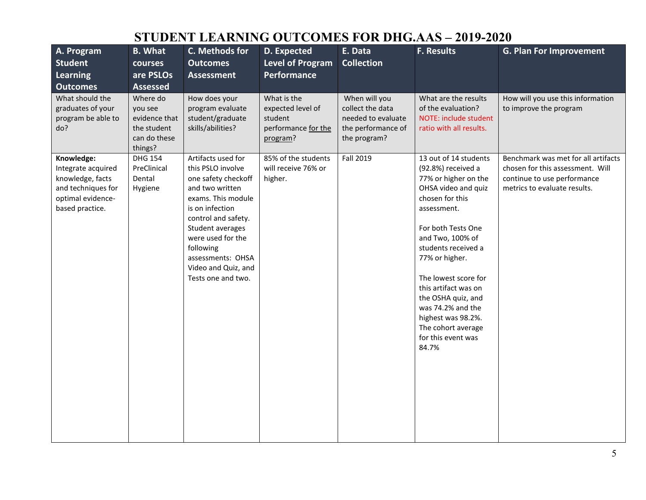| A. Program<br><b>Student</b><br><b>Learning</b><br><b>Outcomes</b>                                                 | <b>B.</b> What<br>courses<br>are PSLOs<br><b>Assessed</b>                      | C. Methods for<br><b>Outcomes</b><br><b>Assessment</b>                                                                                                                                                                                                                    | D. Expected<br><b>Level of Program</b><br><b>Performance</b>                   | E. Data<br><b>Collection</b>                                                                  | <b>F. Results</b>                                                                                                                                                                                                                                                                                                                                                                     | <b>G. Plan For Improvement</b>                                                                                                         |
|--------------------------------------------------------------------------------------------------------------------|--------------------------------------------------------------------------------|---------------------------------------------------------------------------------------------------------------------------------------------------------------------------------------------------------------------------------------------------------------------------|--------------------------------------------------------------------------------|-----------------------------------------------------------------------------------------------|---------------------------------------------------------------------------------------------------------------------------------------------------------------------------------------------------------------------------------------------------------------------------------------------------------------------------------------------------------------------------------------|----------------------------------------------------------------------------------------------------------------------------------------|
| What should the<br>graduates of your<br>program be able to<br>do?                                                  | Where do<br>you see<br>evidence that<br>the student<br>can do these<br>things? | How does your<br>program evaluate<br>student/graduate<br>skills/abilities?                                                                                                                                                                                                | What is the<br>expected level of<br>student<br>performance for the<br>program? | When will you<br>collect the data<br>needed to evaluate<br>the performance of<br>the program? | What are the results<br>of the evaluation?<br>NOTE: include student<br>ratio with all results.                                                                                                                                                                                                                                                                                        | How will you use this information<br>to improve the program                                                                            |
| Knowledge:<br>Integrate acquired<br>knowledge, facts<br>and techniques for<br>optimal evidence-<br>based practice. | <b>DHG 154</b><br>PreClinical<br>Dental<br>Hygiene                             | Artifacts used for<br>this PSLO involve<br>one safety checkoff<br>and two written<br>exams. This module<br>is on infection<br>control and safety.<br>Student averages<br>were used for the<br>following<br>assessments: OHSA<br>Video and Quiz, and<br>Tests one and two. | 85% of the students<br>will receive 76% or<br>higher.                          | Fall 2019                                                                                     | 13 out of 14 students<br>(92.8%) received a<br>77% or higher on the<br>OHSA video and quiz<br>chosen for this<br>assessment.<br>For both Tests One<br>and Two, 100% of<br>students received a<br>77% or higher.<br>The lowest score for<br>this artifact was on<br>the OSHA quiz, and<br>was 74.2% and the<br>highest was 98.2%.<br>The cohort average<br>for this event was<br>84.7% | Benchmark was met for all artifacts<br>chosen for this assessment. Will<br>continue to use performance<br>metrics to evaluate results. |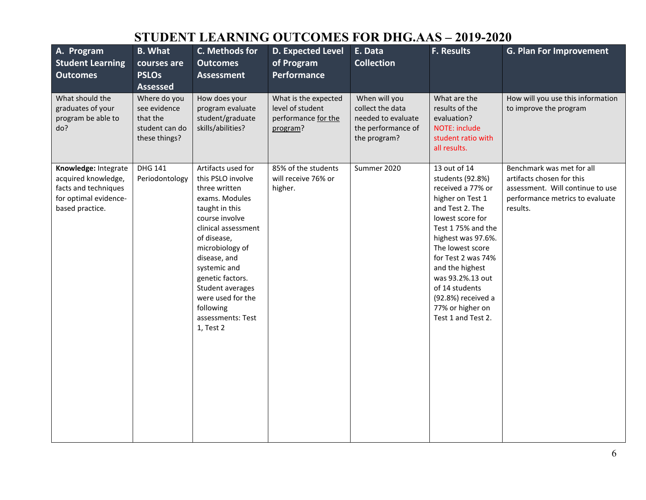| A. Program<br><b>Student Learning</b><br><b>Outcomes</b>                                                        | <b>B.</b> What<br>courses are<br><b>PSLOs</b><br><b>Assessed</b>            | C. Methods for<br><b>Outcomes</b><br><b>Assessment</b>                                                                                                                                                                                                                                                              | <b>D. Expected Level</b><br>of Program<br><b>Performance</b>                | E. Data<br><b>Collection</b>                                                                  | F. Results                                                                                                                                                                                                                                                                                                                     | <b>G. Plan For Improvement</b>                                                                                                            |
|-----------------------------------------------------------------------------------------------------------------|-----------------------------------------------------------------------------|---------------------------------------------------------------------------------------------------------------------------------------------------------------------------------------------------------------------------------------------------------------------------------------------------------------------|-----------------------------------------------------------------------------|-----------------------------------------------------------------------------------------------|--------------------------------------------------------------------------------------------------------------------------------------------------------------------------------------------------------------------------------------------------------------------------------------------------------------------------------|-------------------------------------------------------------------------------------------------------------------------------------------|
| What should the<br>graduates of your<br>program be able to<br>do?                                               | Where do you<br>see evidence<br>that the<br>student can do<br>these things? | How does your<br>program evaluate<br>student/graduate<br>skills/abilities?                                                                                                                                                                                                                                          | What is the expected<br>level of student<br>performance for the<br>program? | When will you<br>collect the data<br>needed to evaluate<br>the performance of<br>the program? | What are the<br>results of the<br>evaluation?<br>NOTE: include<br>student ratio with<br>all results.                                                                                                                                                                                                                           | How will you use this information<br>to improve the program                                                                               |
| Knowledge: Integrate<br>acquired knowledge,<br>facts and techniques<br>for optimal evidence-<br>based practice. | <b>DHG 141</b><br>Periodontology                                            | Artifacts used for<br>this PSLO involve<br>three written<br>exams. Modules<br>taught in this<br>course involve<br>clinical assessment<br>of disease,<br>microbiology of<br>disease, and<br>systemic and<br>genetic factors.<br>Student averages<br>were used for the<br>following<br>assessments: Test<br>1, Test 2 | 85% of the students<br>will receive 76% or<br>higher.                       | Summer 2020                                                                                   | 13 out of 14<br>students (92.8%)<br>received a 77% or<br>higher on Test 1<br>and Test 2. The<br>lowest score for<br>Test 175% and the<br>highest was 97.6%.<br>The lowest score<br>for Test 2 was 74%<br>and the highest<br>was 93.2%.13 out<br>of 14 students<br>(92.8%) received a<br>77% or higher on<br>Test 1 and Test 2. | Benchmark was met for all<br>artifacts chosen for this<br>assessment. Will continue to use<br>performance metrics to evaluate<br>results. |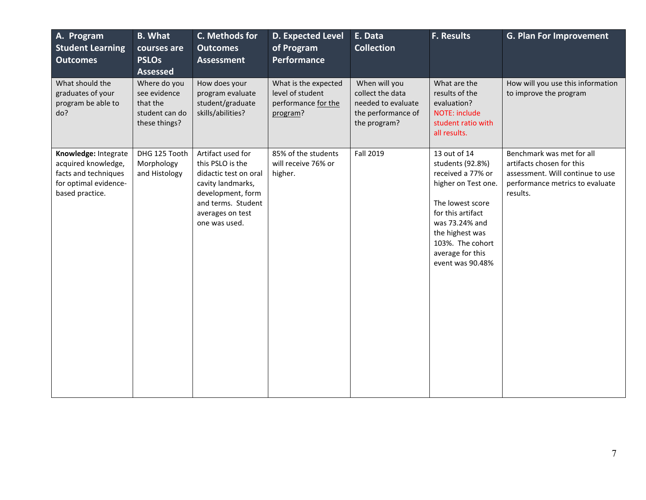| A. Program<br><b>Student Learning</b><br><b>Outcomes</b>                                                        | <b>B.</b> What<br>courses are<br><b>PSLOs</b><br><b>Assessed</b>            | C. Methods for<br><b>Outcomes</b><br><b>Assessment</b>                                                                                                              | <b>D. Expected Level</b><br>of Program<br><b>Performance</b>                | E. Data<br><b>Collection</b>                                                                  | <b>F. Results</b>                                                                                                                                                                                                      | <b>G. Plan For Improvement</b>                                                                                                            |
|-----------------------------------------------------------------------------------------------------------------|-----------------------------------------------------------------------------|---------------------------------------------------------------------------------------------------------------------------------------------------------------------|-----------------------------------------------------------------------------|-----------------------------------------------------------------------------------------------|------------------------------------------------------------------------------------------------------------------------------------------------------------------------------------------------------------------------|-------------------------------------------------------------------------------------------------------------------------------------------|
| What should the<br>graduates of your<br>program be able to<br>do?                                               | Where do you<br>see evidence<br>that the<br>student can do<br>these things? | How does your<br>program evaluate<br>student/graduate<br>skills/abilities?                                                                                          | What is the expected<br>level of student<br>performance for the<br>program? | When will you<br>collect the data<br>needed to evaluate<br>the performance of<br>the program? | What are the<br>results of the<br>evaluation?<br>NOTE: include<br>student ratio with<br>all results.                                                                                                                   | How will you use this information<br>to improve the program                                                                               |
| Knowledge: Integrate<br>acquired knowledge,<br>facts and techniques<br>for optimal evidence-<br>based practice. | DHG 125 Tooth<br>Morphology<br>and Histology                                | Artifact used for<br>this PSLO is the<br>didactic test on oral<br>cavity landmarks,<br>development, form<br>and terms. Student<br>averages on test<br>one was used. | 85% of the students<br>will receive 76% or<br>higher.                       | Fall 2019                                                                                     | 13 out of 14<br>students (92.8%)<br>received a 77% or<br>higher on Test one.<br>The lowest score<br>for this artifact<br>was 73.24% and<br>the highest was<br>103%. The cohort<br>average for this<br>event was 90.48% | Benchmark was met for all<br>artifacts chosen for this<br>assessment. Will continue to use<br>performance metrics to evaluate<br>results. |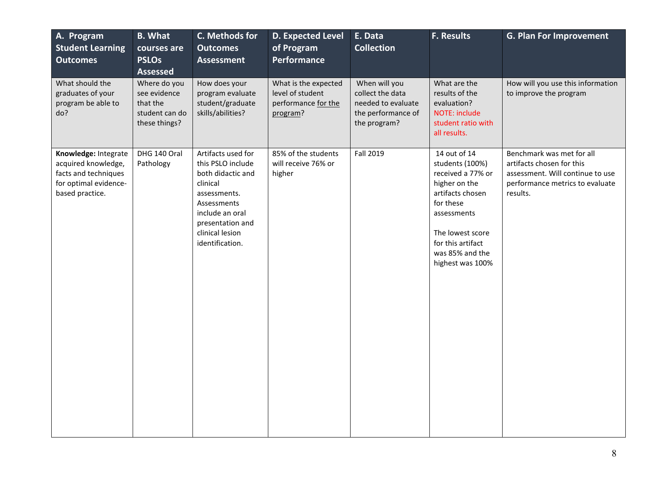| A. Program<br><b>Student Learning</b><br><b>Outcomes</b>                                                        | <b>B.</b> What<br>courses are<br><b>PSLOs</b><br><b>Assessed</b>            | C. Methods for<br><b>Outcomes</b><br><b>Assessment</b>                                                                                                                               | <b>D. Expected Level</b><br>of Program<br>Performance                       | E. Data<br><b>Collection</b>                                                                  | F. Results                                                                                                                                                                                            | <b>G. Plan For Improvement</b>                                                                                                            |
|-----------------------------------------------------------------------------------------------------------------|-----------------------------------------------------------------------------|--------------------------------------------------------------------------------------------------------------------------------------------------------------------------------------|-----------------------------------------------------------------------------|-----------------------------------------------------------------------------------------------|-------------------------------------------------------------------------------------------------------------------------------------------------------------------------------------------------------|-------------------------------------------------------------------------------------------------------------------------------------------|
| What should the<br>graduates of your<br>program be able to<br>do?                                               | Where do you<br>see evidence<br>that the<br>student can do<br>these things? | How does your<br>program evaluate<br>student/graduate<br>skills/abilities?                                                                                                           | What is the expected<br>level of student<br>performance for the<br>program? | When will you<br>collect the data<br>needed to evaluate<br>the performance of<br>the program? | What are the<br>results of the<br>evaluation?<br>NOTE: include<br>student ratio with<br>all results.                                                                                                  | How will you use this information<br>to improve the program                                                                               |
| Knowledge: Integrate<br>acquired knowledge,<br>facts and techniques<br>for optimal evidence-<br>based practice. | DHG 140 Oral<br>Pathology                                                   | Artifacts used for<br>this PSLO include<br>both didactic and<br>clinical<br>assessments.<br>Assessments<br>include an oral<br>presentation and<br>clinical lesion<br>identification. | 85% of the students<br>will receive 76% or<br>higher                        | Fall 2019                                                                                     | 14 out of 14<br>students (100%)<br>received a 77% or<br>higher on the<br>artifacts chosen<br>for these<br>assessments<br>The lowest score<br>for this artifact<br>was 85% and the<br>highest was 100% | Benchmark was met for all<br>artifacts chosen for this<br>assessment. Will continue to use<br>performance metrics to evaluate<br>results. |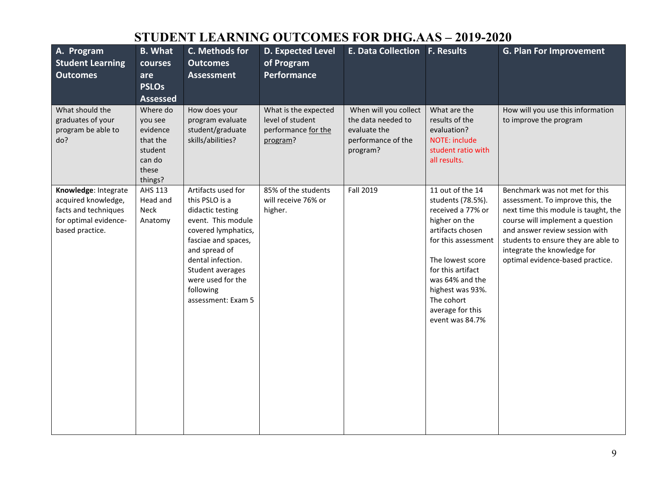| A. Program<br><b>Student Learning</b><br><b>Outcomes</b>                                                        | <b>B.</b> What<br>courses<br>are<br><b>PSLOs</b><br><b>Assessed</b>                  | C. Methods for<br><b>Outcomes</b><br><b>Assessment</b>                                                                                                                                                                                         | <b>D. Expected Level</b><br>of Program<br><b>Performance</b>                | <b>E. Data Collection F. Results</b>                                                          |                                                                                                                                                                                                                                                             | <b>G. Plan For Improvement</b>                                                                                                                                                                                                                                                             |
|-----------------------------------------------------------------------------------------------------------------|--------------------------------------------------------------------------------------|------------------------------------------------------------------------------------------------------------------------------------------------------------------------------------------------------------------------------------------------|-----------------------------------------------------------------------------|-----------------------------------------------------------------------------------------------|-------------------------------------------------------------------------------------------------------------------------------------------------------------------------------------------------------------------------------------------------------------|--------------------------------------------------------------------------------------------------------------------------------------------------------------------------------------------------------------------------------------------------------------------------------------------|
| What should the<br>graduates of your<br>program be able to<br>do?                                               | Where do<br>you see<br>evidence<br>that the<br>student<br>can do<br>these<br>things? | How does your<br>program evaluate<br>student/graduate<br>skills/abilities?                                                                                                                                                                     | What is the expected<br>level of student<br>performance for the<br>program? | When will you collect<br>the data needed to<br>evaluate the<br>performance of the<br>program? | What are the<br>results of the<br>evaluation?<br>NOTE: include<br>student ratio with<br>all results.                                                                                                                                                        | How will you use this information<br>to improve the program                                                                                                                                                                                                                                |
| Knowledge: Integrate<br>acquired knowledge,<br>facts and techniques<br>for optimal evidence-<br>based practice. | AHS 113<br>Head and<br>Neck<br>Anatomy                                               | Artifacts used for<br>this PSLO is a<br>didactic testing<br>event. This module<br>covered lymphatics,<br>fasciae and spaces,<br>and spread of<br>dental infection.<br>Student averages<br>were used for the<br>following<br>assessment: Exam 5 | 85% of the students<br>will receive 76% or<br>higher.                       | Fall 2019                                                                                     | 11 out of the 14<br>students (78.5%).<br>received a 77% or<br>higher on the<br>artifacts chosen<br>for this assessment<br>The lowest score<br>for this artifact<br>was 64% and the<br>highest was 93%.<br>The cohort<br>average for this<br>event was 84.7% | Benchmark was not met for this<br>assessment. To improve this, the<br>next time this module is taught, the<br>course will implement a question<br>and answer review session with<br>students to ensure they are able to<br>integrate the knowledge for<br>optimal evidence-based practice. |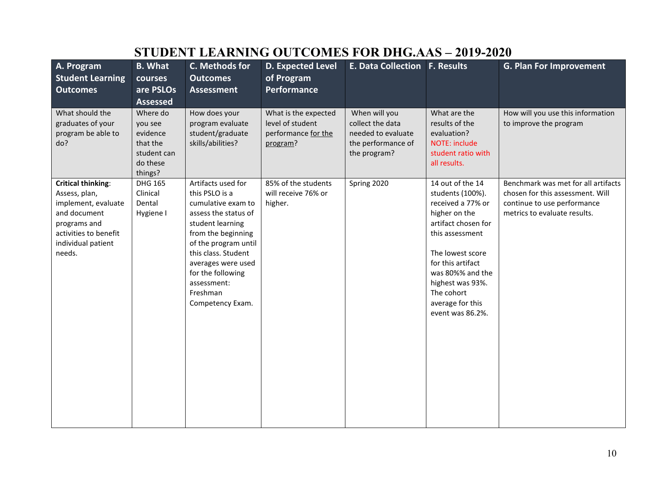| A. Program<br><b>Student Learning</b><br><b>Outcomes</b>                                                                                                   | <b>B.</b> What<br>courses<br>are PSLOs<br><b>Assessed</b>                         | C. Methods for<br><b>Outcomes</b><br><b>Assessment</b>                                                                                                                                                                                                                | <b>D. Expected Level</b><br>of Program<br>Performance                       | E. Data Collection F. Results                                                                 |                                                                                                                                                                                                                                                             | <b>G. Plan For Improvement</b>                                                                                                         |
|------------------------------------------------------------------------------------------------------------------------------------------------------------|-----------------------------------------------------------------------------------|-----------------------------------------------------------------------------------------------------------------------------------------------------------------------------------------------------------------------------------------------------------------------|-----------------------------------------------------------------------------|-----------------------------------------------------------------------------------------------|-------------------------------------------------------------------------------------------------------------------------------------------------------------------------------------------------------------------------------------------------------------|----------------------------------------------------------------------------------------------------------------------------------------|
| What should the<br>graduates of your<br>program be able to<br>do?                                                                                          | Where do<br>you see<br>evidence<br>that the<br>student can<br>do these<br>things? | How does your<br>program evaluate<br>student/graduate<br>skills/abilities?                                                                                                                                                                                            | What is the expected<br>level of student<br>performance for the<br>program? | When will you<br>collect the data<br>needed to evaluate<br>the performance of<br>the program? | What are the<br>results of the<br>evaluation?<br>NOTE: include<br>student ratio with<br>all results.                                                                                                                                                        | How will you use this information<br>to improve the program                                                                            |
| <b>Critical thinking:</b><br>Assess, plan,<br>implement, evaluate<br>and document<br>programs and<br>activities to benefit<br>individual patient<br>needs. | <b>DHG 165</b><br>Clinical<br>Dental<br>Hygiene I                                 | Artifacts used for<br>this PSLO is a<br>cumulative exam to<br>assess the status of<br>student learning<br>from the beginning<br>of the program until<br>this class. Student<br>averages were used<br>for the following<br>assessment:<br>Freshman<br>Competency Exam. | 85% of the students<br>will receive 76% or<br>higher.                       | Spring 2020                                                                                   | 14 out of the 14<br>students (100%).<br>received a 77% or<br>higher on the<br>artifact chosen for<br>this assessment<br>The lowest score<br>for this artifact<br>was 80%% and the<br>highest was 93%.<br>The cohort<br>average for this<br>event was 86.2%. | Benchmark was met for all artifacts<br>chosen for this assessment. Will<br>continue to use performance<br>metrics to evaluate results. |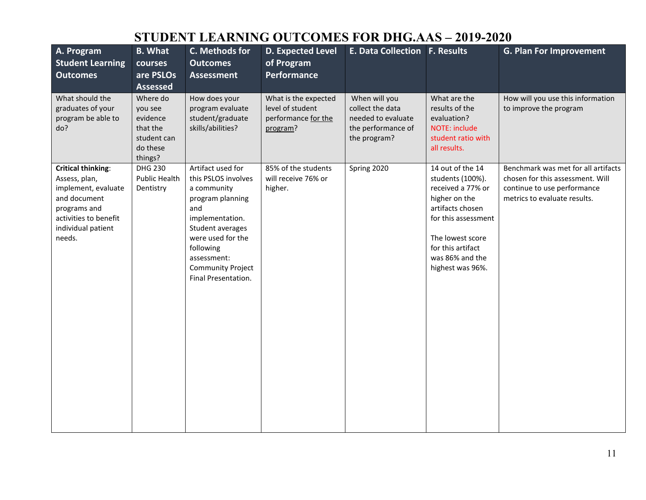| A. Program<br><b>Student Learning</b><br><b>Outcomes</b>                                                                                                   | <b>B.</b> What<br>courses<br>are PSLOs<br><b>Assessed</b>                         | C. Methods for<br><b>Outcomes</b><br><b>Assessment</b>                                                                                                                                                                        | <b>D. Expected Level</b><br>of Program<br><b>Performance</b>                | E. Data Collection   F. Results                                                               |                                                                                                                                                                                                       | <b>G. Plan For Improvement</b>                                                                                                         |
|------------------------------------------------------------------------------------------------------------------------------------------------------------|-----------------------------------------------------------------------------------|-------------------------------------------------------------------------------------------------------------------------------------------------------------------------------------------------------------------------------|-----------------------------------------------------------------------------|-----------------------------------------------------------------------------------------------|-------------------------------------------------------------------------------------------------------------------------------------------------------------------------------------------------------|----------------------------------------------------------------------------------------------------------------------------------------|
| What should the<br>graduates of your<br>program be able to<br>do?                                                                                          | Where do<br>you see<br>evidence<br>that the<br>student can<br>do these<br>things? | How does your<br>program evaluate<br>student/graduate<br>skills/abilities?                                                                                                                                                    | What is the expected<br>level of student<br>performance for the<br>program? | When will you<br>collect the data<br>needed to evaluate<br>the performance of<br>the program? | What are the<br>results of the<br>evaluation?<br>NOTE: include<br>student ratio with<br>all results.                                                                                                  | How will you use this information<br>to improve the program                                                                            |
| <b>Critical thinking:</b><br>Assess, plan,<br>implement, evaluate<br>and document<br>programs and<br>activities to benefit<br>individual patient<br>needs. | <b>DHG 230</b><br><b>Public Health</b><br>Dentistry                               | Artifact used for<br>this PSLOS involves<br>a community<br>program planning<br>and<br>implementation.<br>Student averages<br>were used for the<br>following<br>assessment:<br><b>Community Project</b><br>Final Presentation. | 85% of the students<br>will receive 76% or<br>higher.                       | Spring 2020                                                                                   | 14 out of the 14<br>students (100%).<br>received a 77% or<br>higher on the<br>artifacts chosen<br>for this assessment<br>The lowest score<br>for this artifact<br>was 86% and the<br>highest was 96%. | Benchmark was met for all artifacts<br>chosen for this assessment. Will<br>continue to use performance<br>metrics to evaluate results. |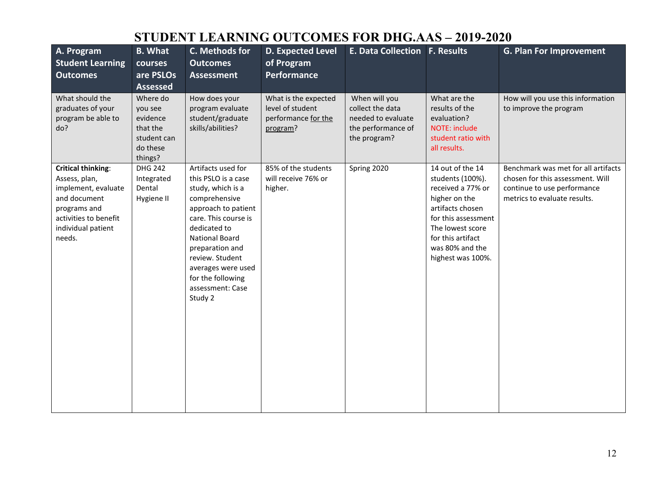| A. Program<br><b>Student Learning</b><br><b>Outcomes</b>                                                                                                   | <b>B.</b> What<br>courses<br>are PSLOs<br><b>Assessed</b>                         | C. Methods for<br><b>Outcomes</b><br><b>Assessment</b>                                                                                                                                                                                                                                  | <b>D. Expected Level</b><br>of Program<br><b>Performance</b>                | E. Data Collection F. Results                                                                 |                                                                                                                                                                                                        | <b>G. Plan For Improvement</b>                                                                                                         |
|------------------------------------------------------------------------------------------------------------------------------------------------------------|-----------------------------------------------------------------------------------|-----------------------------------------------------------------------------------------------------------------------------------------------------------------------------------------------------------------------------------------------------------------------------------------|-----------------------------------------------------------------------------|-----------------------------------------------------------------------------------------------|--------------------------------------------------------------------------------------------------------------------------------------------------------------------------------------------------------|----------------------------------------------------------------------------------------------------------------------------------------|
| What should the<br>graduates of your<br>program be able to<br>do?                                                                                          | Where do<br>you see<br>evidence<br>that the<br>student can<br>do these<br>things? | How does your<br>program evaluate<br>student/graduate<br>skills/abilities?                                                                                                                                                                                                              | What is the expected<br>level of student<br>performance for the<br>program? | When will you<br>collect the data<br>needed to evaluate<br>the performance of<br>the program? | What are the<br>results of the<br>evaluation?<br>NOTE: include<br>student ratio with<br>all results.                                                                                                   | How will you use this information<br>to improve the program                                                                            |
| <b>Critical thinking:</b><br>Assess, plan,<br>implement, evaluate<br>and document<br>programs and<br>activities to benefit<br>individual patient<br>needs. | <b>DHG 242</b><br>Integrated<br>Dental<br>Hygiene II                              | Artifacts used for<br>this PSLO is a case<br>study, which is a<br>comprehensive<br>approach to patient<br>care. This course is<br>dedicated to<br><b>National Board</b><br>preparation and<br>review. Student<br>averages were used<br>for the following<br>assessment: Case<br>Study 2 | 85% of the students<br>will receive 76% or<br>higher.                       | Spring 2020                                                                                   | 14 out of the 14<br>students (100%).<br>received a 77% or<br>higher on the<br>artifacts chosen<br>for this assessment<br>The lowest score<br>for this artifact<br>was 80% and the<br>highest was 100%. | Benchmark was met for all artifacts<br>chosen for this assessment. Will<br>continue to use performance<br>metrics to evaluate results. |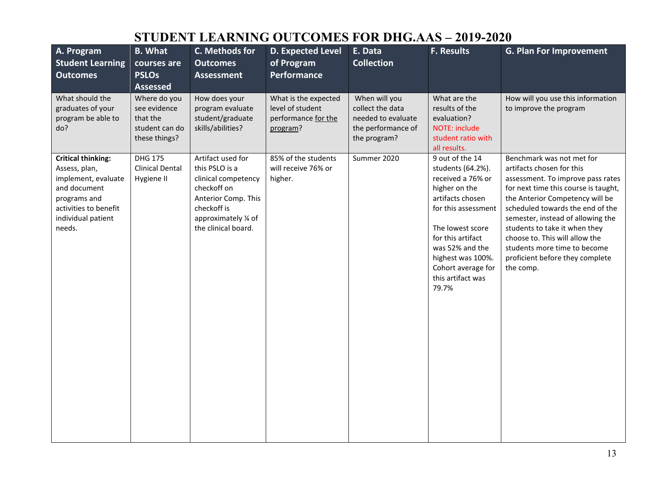| A. Program<br><b>Student Learning</b><br><b>Outcomes</b>                                                                                                   | <b>B.</b> What<br>courses are<br><b>PSLOs</b><br><b>Assessed</b>            | C. Methods for<br><b>Outcomes</b><br><b>Assessment</b>                                                                                                         | <b>D. Expected Level</b><br>of Program<br><b>Performance</b>                | E. Data<br><b>Collection</b>                                                                  | <b>F. Results</b>                                                                                                                                                                                                                                          | <b>G. Plan For Improvement</b>                                                                                                                                                                                                                                                                                                                                                                     |
|------------------------------------------------------------------------------------------------------------------------------------------------------------|-----------------------------------------------------------------------------|----------------------------------------------------------------------------------------------------------------------------------------------------------------|-----------------------------------------------------------------------------|-----------------------------------------------------------------------------------------------|------------------------------------------------------------------------------------------------------------------------------------------------------------------------------------------------------------------------------------------------------------|----------------------------------------------------------------------------------------------------------------------------------------------------------------------------------------------------------------------------------------------------------------------------------------------------------------------------------------------------------------------------------------------------|
| What should the<br>graduates of your<br>program be able to<br>do?                                                                                          | Where do you<br>see evidence<br>that the<br>student can do<br>these things? | How does your<br>program evaluate<br>student/graduate<br>skills/abilities?                                                                                     | What is the expected<br>level of student<br>performance for the<br>program? | When will you<br>collect the data<br>needed to evaluate<br>the performance of<br>the program? | What are the<br>results of the<br>evaluation?<br>NOTE: include<br>student ratio with<br>all results.                                                                                                                                                       | How will you use this information<br>to improve the program                                                                                                                                                                                                                                                                                                                                        |
| <b>Critical thinking:</b><br>Assess, plan,<br>implement, evaluate<br>and document<br>programs and<br>activities to benefit<br>individual patient<br>needs. | <b>DHG 175</b><br><b>Clinical Dental</b><br>Hygiene II                      | Artifact used for<br>this PSLO is a<br>clinical competency<br>checkoff on<br>Anterior Comp. This<br>checkoff is<br>approximately 1/4 of<br>the clinical board. | 85% of the students<br>will receive 76% or<br>higher.                       | Summer 2020                                                                                   | 9 out of the 14<br>students (64.2%).<br>received a 76% or<br>higher on the<br>artifacts chosen<br>for this assessment<br>The lowest score<br>for this artifact<br>was 52% and the<br>highest was 100%.<br>Cohort average for<br>this artifact was<br>79.7% | Benchmark was not met for<br>artifacts chosen for this<br>assessment. To improve pass rates<br>for next time this course is taught,<br>the Anterior Competency will be<br>scheduled towards the end of the<br>semester, instead of allowing the<br>students to take it when they<br>choose to. This will allow the<br>students more time to become<br>proficient before they complete<br>the comp. |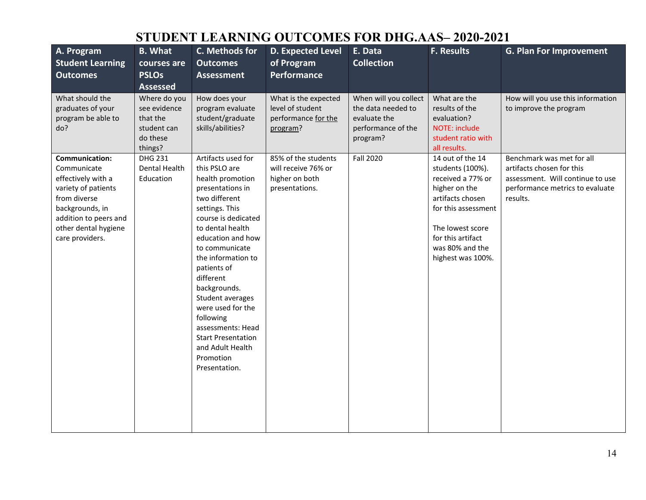| A. Program<br><b>Student Learning</b><br><b>Outcomes</b>                                                                                                                          | <b>B.</b> What<br>courses are<br><b>PSLOs</b>                                                     | C. Methods for<br><b>Outcomes</b><br><b>Assessment</b>                                                                                                                                                                                                                                                                                                                                                                       | <b>D. Expected Level</b><br>of Program<br><b>Performance</b>                   | E. Data<br><b>Collection</b>                                                                  | <b>F. Results</b>                                                                                                                                                                                      | <b>G. Plan For Improvement</b>                                                                                                            |
|-----------------------------------------------------------------------------------------------------------------------------------------------------------------------------------|---------------------------------------------------------------------------------------------------|------------------------------------------------------------------------------------------------------------------------------------------------------------------------------------------------------------------------------------------------------------------------------------------------------------------------------------------------------------------------------------------------------------------------------|--------------------------------------------------------------------------------|-----------------------------------------------------------------------------------------------|--------------------------------------------------------------------------------------------------------------------------------------------------------------------------------------------------------|-------------------------------------------------------------------------------------------------------------------------------------------|
| What should the<br>graduates of your<br>program be able to<br>do?                                                                                                                 | <b>Assessed</b><br>Where do you<br>see evidence<br>that the<br>student can<br>do these<br>things? | How does your<br>program evaluate<br>student/graduate<br>skills/abilities?                                                                                                                                                                                                                                                                                                                                                   | What is the expected<br>level of student<br>performance for the<br>program?    | When will you collect<br>the data needed to<br>evaluate the<br>performance of the<br>program? | What are the<br>results of the<br>evaluation?<br>NOTE: include<br>student ratio with<br>all results.                                                                                                   | How will you use this information<br>to improve the program                                                                               |
| Communication:<br>Communicate<br>effectively with a<br>variety of patients<br>from diverse<br>backgrounds, in<br>addition to peers and<br>other dental hygiene<br>care providers. | <b>DHG 231</b><br><b>Dental Health</b><br>Education                                               | Artifacts used for<br>this PSLO are<br>health promotion<br>presentations in<br>two different<br>settings. This<br>course is dedicated<br>to dental health<br>education and how<br>to communicate<br>the information to<br>patients of<br>different<br>backgrounds.<br>Student averages<br>were used for the<br>following<br>assessments: Head<br><b>Start Presentation</b><br>and Adult Health<br>Promotion<br>Presentation. | 85% of the students<br>will receive 76% or<br>higher on both<br>presentations. | <b>Fall 2020</b>                                                                              | 14 out of the 14<br>students (100%).<br>received a 77% or<br>higher on the<br>artifacts chosen<br>for this assessment<br>The lowest score<br>for this artifact<br>was 80% and the<br>highest was 100%. | Benchmark was met for all<br>artifacts chosen for this<br>assessment. Will continue to use<br>performance metrics to evaluate<br>results. |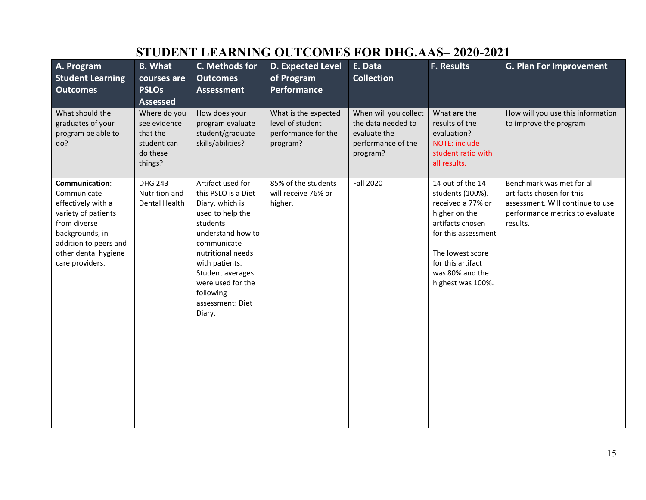| A. Program<br><b>Student Learning</b><br><b>Outcomes</b>                                                                                                                          | <b>B.</b> What<br>courses are<br><b>PSLOs</b><br><b>Assessed</b>               | C. Methods for<br><b>Outcomes</b><br><b>Assessment</b>                                                                                                                                                                                                     | <b>D. Expected Level</b><br>of Program<br>Performance                       | E. Data<br><b>Collection</b>                                                                  | <b>F. Results</b>                                                                                                                                                                                      | <b>G. Plan For Improvement</b>                                                                                                            |
|-----------------------------------------------------------------------------------------------------------------------------------------------------------------------------------|--------------------------------------------------------------------------------|------------------------------------------------------------------------------------------------------------------------------------------------------------------------------------------------------------------------------------------------------------|-----------------------------------------------------------------------------|-----------------------------------------------------------------------------------------------|--------------------------------------------------------------------------------------------------------------------------------------------------------------------------------------------------------|-------------------------------------------------------------------------------------------------------------------------------------------|
| What should the<br>graduates of your<br>program be able to<br>do?                                                                                                                 | Where do you<br>see evidence<br>that the<br>student can<br>do these<br>things? | How does your<br>program evaluate<br>student/graduate<br>skills/abilities?                                                                                                                                                                                 | What is the expected<br>level of student<br>performance for the<br>program? | When will you collect<br>the data needed to<br>evaluate the<br>performance of the<br>program? | What are the<br>results of the<br>evaluation?<br>NOTE: include<br>student ratio with<br>all results.                                                                                                   | How will you use this information<br>to improve the program                                                                               |
| Communication:<br>Communicate<br>effectively with a<br>variety of patients<br>from diverse<br>backgrounds, in<br>addition to peers and<br>other dental hygiene<br>care providers. | <b>DHG 243</b><br>Nutrition and<br>Dental Health                               | Artifact used for<br>this PSLO is a Diet<br>Diary, which is<br>used to help the<br>students<br>understand how to<br>communicate<br>nutritional needs<br>with patients.<br>Student averages<br>were used for the<br>following<br>assessment: Diet<br>Diary. | 85% of the students<br>will receive 76% or<br>higher.                       | <b>Fall 2020</b>                                                                              | 14 out of the 14<br>students (100%).<br>received a 77% or<br>higher on the<br>artifacts chosen<br>for this assessment<br>The lowest score<br>for this artifact<br>was 80% and the<br>highest was 100%. | Benchmark was met for all<br>artifacts chosen for this<br>assessment. Will continue to use<br>performance metrics to evaluate<br>results. |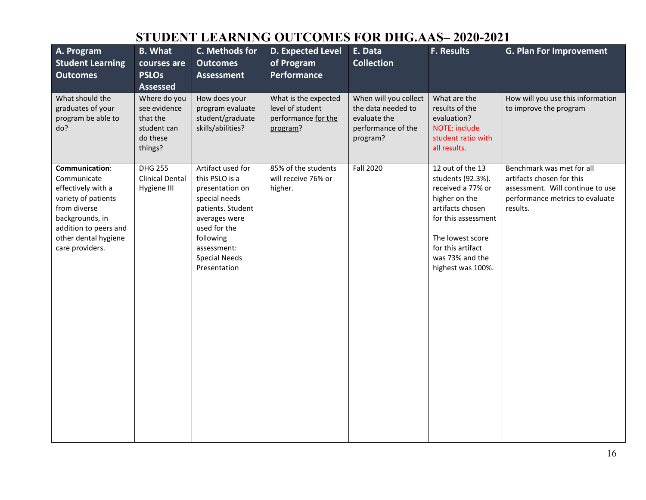| A. Program<br><b>Student Learning</b><br><b>Outcomes</b>                                                                                                                          | <b>B.</b> What<br>courses are<br><b>PSLOs</b><br><b>Assessed</b>               | C. Methods for<br><b>Outcomes</b><br><b>Assessment</b>                                                                                                                                            | <b>D. Expected Level</b><br>of Program<br>Performance                       | E. Data<br><b>Collection</b>                                                                  | F. Results                                                                                                                                                                                              | <b>G. Plan For Improvement</b>                                                                                                            |
|-----------------------------------------------------------------------------------------------------------------------------------------------------------------------------------|--------------------------------------------------------------------------------|---------------------------------------------------------------------------------------------------------------------------------------------------------------------------------------------------|-----------------------------------------------------------------------------|-----------------------------------------------------------------------------------------------|---------------------------------------------------------------------------------------------------------------------------------------------------------------------------------------------------------|-------------------------------------------------------------------------------------------------------------------------------------------|
| What should the<br>graduates of your<br>program be able to<br>do?                                                                                                                 | Where do you<br>see evidence<br>that the<br>student can<br>do these<br>things? | How does your<br>program evaluate<br>student/graduate<br>skills/abilities?                                                                                                                        | What is the expected<br>level of student<br>performance for the<br>program? | When will you collect<br>the data needed to<br>evaluate the<br>performance of the<br>program? | What are the<br>results of the<br>evaluation?<br>NOTE: include<br>student ratio with<br>all results.                                                                                                    | How will you use this information<br>to improve the program                                                                               |
| Communication:<br>Communicate<br>effectively with a<br>variety of patients<br>from diverse<br>backgrounds, in<br>addition to peers and<br>other dental hygiene<br>care providers. | <b>DHG 255</b><br><b>Clinical Dental</b><br>Hygiene III                        | Artifact used for<br>this PSLO is a<br>presentation on<br>special needs<br>patients. Student<br>averages were<br>used for the<br>following<br>assessment:<br><b>Special Needs</b><br>Presentation | 85% of the students<br>will receive 76% or<br>higher.                       | <b>Fall 2020</b>                                                                              | 12 out of the 13<br>students (92.3%).<br>received a 77% or<br>higher on the<br>artifacts chosen<br>for this assessment<br>The lowest score<br>for this artifact<br>was 73% and the<br>highest was 100%. | Benchmark was met for all<br>artifacts chosen for this<br>assessment. Will continue to use<br>performance metrics to evaluate<br>results. |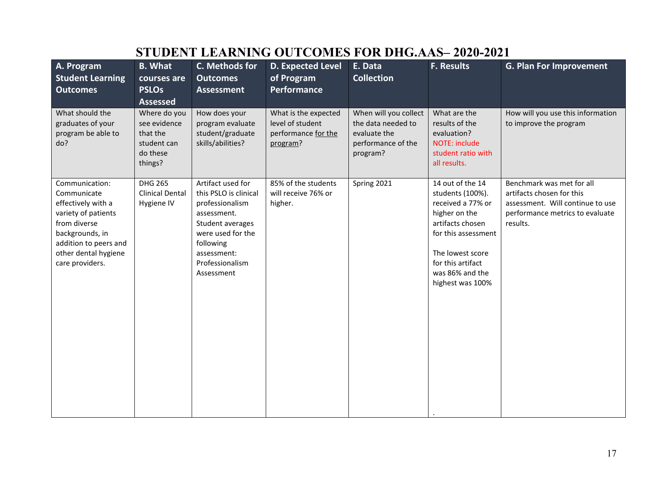| A. Program<br><b>Student Learning</b><br><b>Outcomes</b>                                                                                                                          | <b>B.</b> What<br>courses are<br><b>PSLOs</b><br><b>Assessed</b>               | C. Methods for<br><b>Outcomes</b><br><b>Assessment</b>                                                                                                                             | <b>D. Expected Level</b><br>of Program<br><b>Performance</b>                | E. Data<br><b>Collection</b>                                                                  | <b>F. Results</b>                                                                                                                                                                                     | <b>G. Plan For Improvement</b>                                                                                                            |
|-----------------------------------------------------------------------------------------------------------------------------------------------------------------------------------|--------------------------------------------------------------------------------|------------------------------------------------------------------------------------------------------------------------------------------------------------------------------------|-----------------------------------------------------------------------------|-----------------------------------------------------------------------------------------------|-------------------------------------------------------------------------------------------------------------------------------------------------------------------------------------------------------|-------------------------------------------------------------------------------------------------------------------------------------------|
| What should the<br>graduates of your<br>program be able to<br>do?                                                                                                                 | Where do you<br>see evidence<br>that the<br>student can<br>do these<br>things? | How does your<br>program evaluate<br>student/graduate<br>skills/abilities?                                                                                                         | What is the expected<br>level of student<br>performance for the<br>program? | When will you collect<br>the data needed to<br>evaluate the<br>performance of the<br>program? | What are the<br>results of the<br>evaluation?<br>NOTE: include<br>student ratio with<br>all results.                                                                                                  | How will you use this information<br>to improve the program                                                                               |
| Communication:<br>Communicate<br>effectively with a<br>variety of patients<br>from diverse<br>backgrounds, in<br>addition to peers and<br>other dental hygiene<br>care providers. | <b>DHG 265</b><br><b>Clinical Dental</b><br>Hygiene IV                         | Artifact used for<br>this PSLO is clinical<br>professionalism<br>assessment.<br>Student averages<br>were used for the<br>following<br>assessment:<br>Professionalism<br>Assessment | 85% of the students<br>will receive 76% or<br>higher.                       | Spring 2021                                                                                   | 14 out of the 14<br>students (100%).<br>received a 77% or<br>higher on the<br>artifacts chosen<br>for this assessment<br>The lowest score<br>for this artifact<br>was 86% and the<br>highest was 100% | Benchmark was met for all<br>artifacts chosen for this<br>assessment. Will continue to use<br>performance metrics to evaluate<br>results. |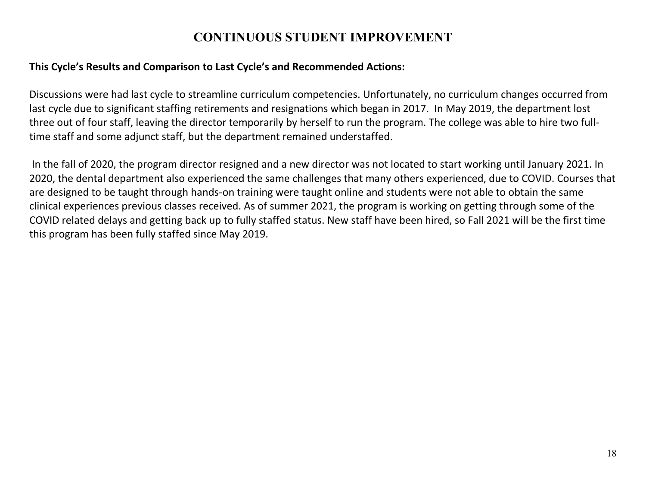#### **CONTINUOUS STUDENT IMPROVEMENT**

#### **This Cycle's Results and Comparison to Last Cycle's and Recommended Actions:**

Discussions were had last cycle to streamline curriculum competencies. Unfortunately, no curriculum changes occurred from last cycle due to significant staffing retirements and resignations which began in 2017. In May 2019, the department lost three out of four staff, leaving the director temporarily by herself to run the program. The college was able to hire two fulltime staff and some adjunct staff, but the department remained understaffed.

In the fall of 2020, the program director resigned and a new director was not located to start working until January 2021. In 2020, the dental department also experienced the same challenges that many others experienced, due to COVID. Courses that are designed to be taught through hands-on training were taught online and students were not able to obtain the same clinical experiences previous classes received. As of summer 2021, the program is working on getting through some of the COVID related delays and getting back up to fully staffed status. New staff have been hired, so Fall 2021 will be the first time this program has been fully staffed since May 2019.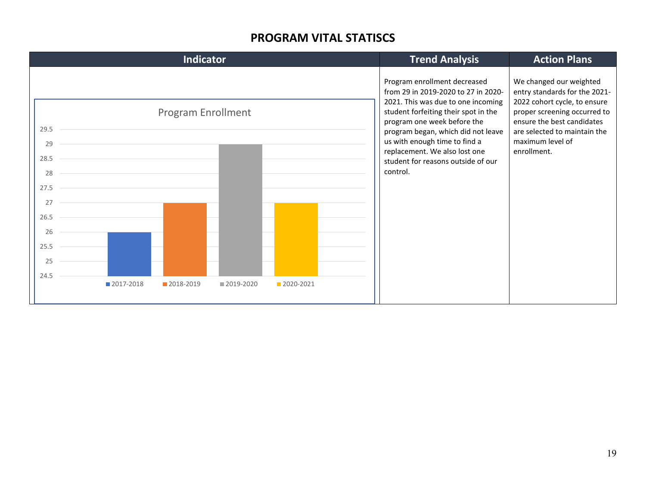#### **PROGRAM VITAL STATISCS**

|                   | Indicator                 |             |           | <b>Trend Analysis</b>                                                                                                                                                                                                  | <b>Action Plans</b>                                                                                                                                                                    |
|-------------------|---------------------------|-------------|-----------|------------------------------------------------------------------------------------------------------------------------------------------------------------------------------------------------------------------------|----------------------------------------------------------------------------------------------------------------------------------------------------------------------------------------|
| 29.5              | <b>Program Enrollment</b> |             |           | Program enrollment decreased<br>from 29 in 2019-2020 to 27 in 2020-<br>2021. This was due to one incoming<br>student forfeiting their spot in the<br>program one week before the<br>program began, which did not leave | We changed our weighted<br>entry standards for the 2021-<br>2022 cohort cycle, to ensure<br>proper screening occurred to<br>ensure the best candidates<br>are selected to maintain the |
| 29                |                           |             |           | us with enough time to find a<br>replacement. We also lost one                                                                                                                                                         | maximum level of<br>enrollment.                                                                                                                                                        |
| 28.5              |                           |             |           | student for reasons outside of our                                                                                                                                                                                     |                                                                                                                                                                                        |
| 28                |                           |             |           | control.                                                                                                                                                                                                               |                                                                                                                                                                                        |
| 27.5              |                           |             |           |                                                                                                                                                                                                                        |                                                                                                                                                                                        |
| 27                |                           |             |           |                                                                                                                                                                                                                        |                                                                                                                                                                                        |
| 26.5              |                           |             |           |                                                                                                                                                                                                                        |                                                                                                                                                                                        |
| 26                |                           |             |           |                                                                                                                                                                                                                        |                                                                                                                                                                                        |
| 25.5              |                           |             |           |                                                                                                                                                                                                                        |                                                                                                                                                                                        |
| 25                |                           |             |           |                                                                                                                                                                                                                        |                                                                                                                                                                                        |
| 24.5<br>2017-2018 | 2018-2019                 | ■ 2019-2020 | 2020-2021 |                                                                                                                                                                                                                        |                                                                                                                                                                                        |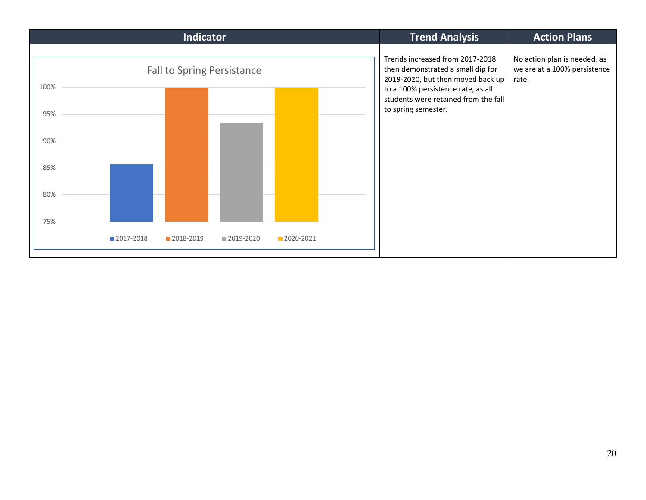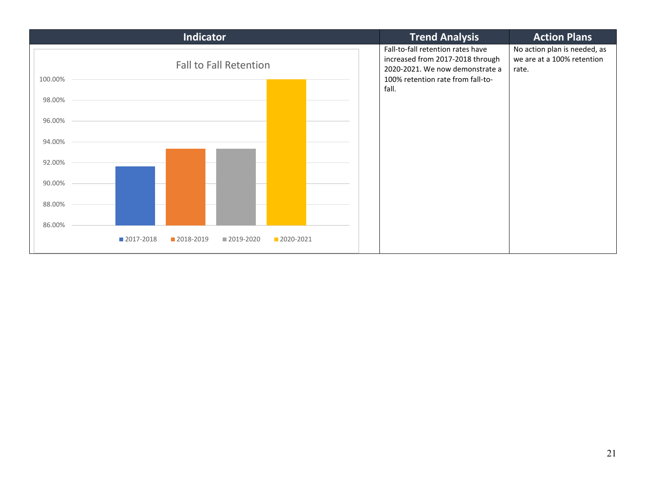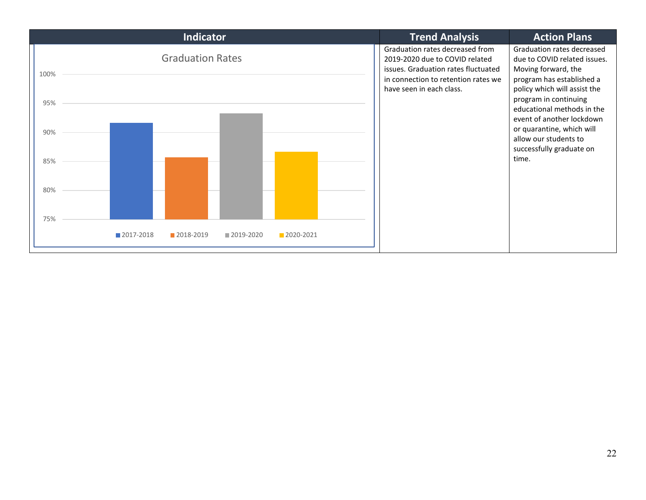